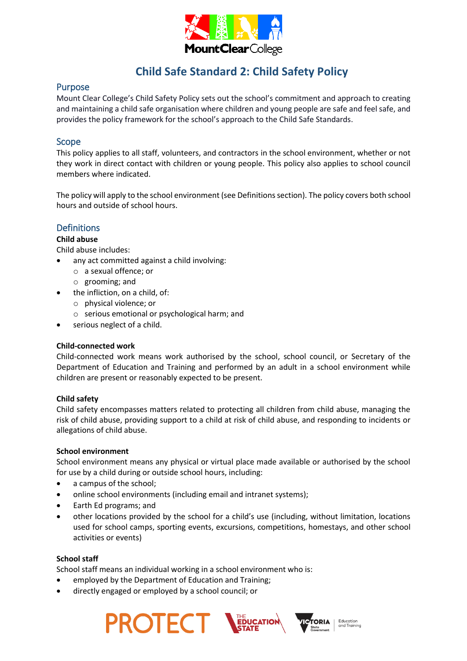

# **Child Safe Standard 2: Child Safety Policy**

# Purpose

Mount Clear College's Child Safety Policy sets out the school's commitment and approach to creating and maintaining a child safe organisation where children and young people are safe and feel safe, and provides the policy framework for the school's approach to the Child Safe Standards.

### Scope

This policy applies to all staff, volunteers, and contractors in the school environment, whether or not they work in direct contact with children or young people. This policy also applies to school council members where indicated.

The policy will apply to the school environment (see Definitions section). The policy covers both school hours and outside of school hours.

# **Definitions**

# **Child abuse**

Child abuse includes:

- any act committed against a child involving:
	- o a sexual offence; or
	- o grooming; and
- the infliction, on a child, of:
	- o physical violence; or
	- o serious emotional or psychological harm; and
	- serious neglect of a child.

### **Child-connected work**

Child-connected work means work authorised by the school, school council, or Secretary of the Department of Education and Training and performed by an adult in a school environment while children are present or reasonably expected to be present.

### **Child safety**

Child safety encompasses matters related to protecting all children from child abuse, managing the risk of child abuse, providing support to a child at risk of child abuse, and responding to incidents or allegations of child abuse.

### **School environment**

School environment means any physical or virtual place made available or authorised by the school for use by a child during or outside school hours, including:

- a campus of the school;
- online school environments (including email and intranet systems);
- Earth Ed programs; and
- other locations provided by the school for a child's use (including, without limitation, locations used for school camps, sporting events, excursions, competitions, homestays, and other school activities or events)

### **School staff**

School staff means an individual working in a school environment who is:

- employed by the Department of Education and Training;
- directly engaged or employed by a school council; or

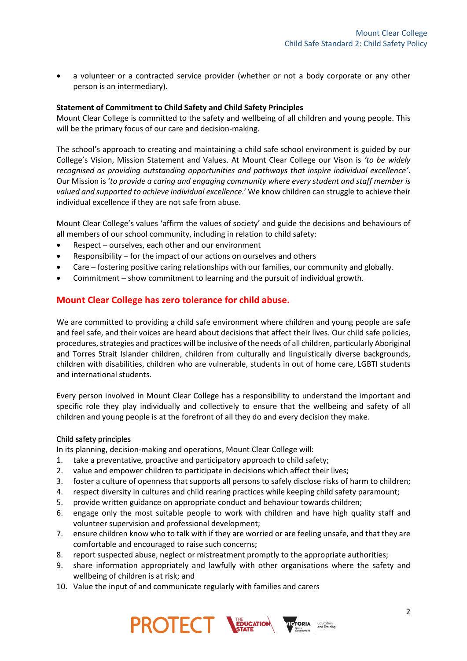• a volunteer or a contracted service provider (whether or not a body corporate or any other person is an intermediary).

### **Statement of Commitment to Child Safety and Child Safety Principles**

Mount Clear College is committed to the safety and wellbeing of all children and young people. This will be the primary focus of our care and decision-making.

The school's approach to creating and maintaining a child safe school environment is guided by our College's Vision, Mission Statement and Values. At Mount Clear College our Vison is *'to be widely recognised as providing outstanding opportunities and pathways that inspire individual excellence'*. Our Mission is '*to provide a caring and engaging community where every student and staff member is valued and supported to achieve individual excellence.*' We know children can struggle to achieve their individual excellence if they are not safe from abuse.

Mount Clear College's values 'affirm the values of society' and guide the decisions and behaviours of all members of our school community, including in relation to child safety:

- Respect ourselves, each other and our environment
- Responsibility for the impact of our actions on ourselves and others
- Care fostering positive caring relationships with our families, our community and globally.
- Commitment show commitment to learning and the pursuit of individual growth.

# **Mount Clear College has zero tolerance for child abuse.**

We are committed to providing a child safe environment where children and young people are safe and feel safe, and their voices are heard about decisions that affect their lives. Our child safe policies, procedures, strategies and practices will be inclusive of the needs of all children, particularly Aboriginal and Torres Strait Islander children, children from culturally and linguistically diverse backgrounds, children with disabilities, children who are vulnerable, students in out of home care, LGBTI students and international students.

Every person involved in Mount Clear College has a responsibility to understand the important and specific role they play individually and collectively to ensure that the wellbeing and safety of all children and young people is at the forefront of all they do and every decision they make.

### Child safety principles

In its planning, decision-making and operations, Mount Clear College will:

- 1. take a preventative, proactive and participatory approach to child safety;
- 2. value and empower children to participate in decisions which affect their lives;
- 3. foster a culture of openness that supports all persons to safely disclose risks of harm to children;
- 4. respect diversity in cultures and child rearing practices while keeping child safety paramount;
- 5. provide written guidance on appropriate conduct and behaviour towards children;
- 6. engage only the most suitable people to work with children and have high quality staff and volunteer supervision and professional development;
- 7. ensure children know who to talk with if they are worried or are feeling unsafe, and that they are comfortable and encouraged to raise such concerns;
- 8. report suspected abuse, neglect or mistreatment promptly to the appropriate authorities;
- 9. share information appropriately and lawfully with other organisations where the safety and wellbeing of children is at risk; and
- 10. Value the input of and communicate regularly with families and carers



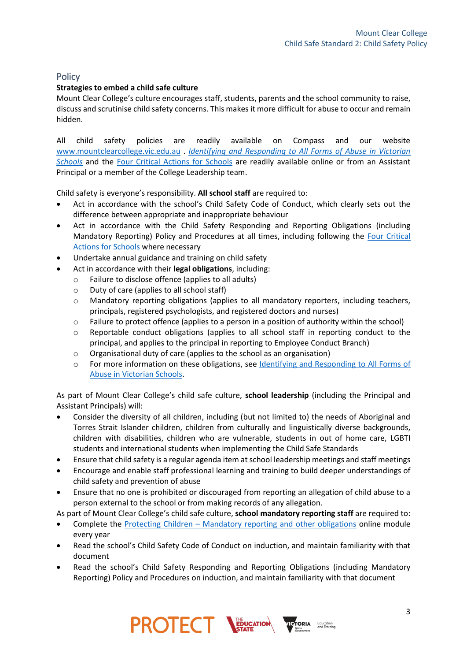# **Policy**

# **Strategies to embed a child safe culture**

Mount Clear College's culture encourages staff, students, parents and the school community to raise, discuss and scrutinise child safety concerns. This makes it more difficult for abuse to occur and remain hidden.

All child safety policies are readily available on Compass and our website [www.mountclearcollege.vic.edu.au](http://www.mountclearcollege.vic.edu.au/) . *[Identifying and Responding to All Forms of Abuse in Victorian](https://www.education.vic.gov.au/Documents/about/programs/health/protect/ChildSafeStandard5_SchoolsGuide.pdf)  [Schools](https://www.education.vic.gov.au/Documents/about/programs/health/protect/ChildSafeStandard5_SchoolsGuide.pdf)* and the [Four Critical Actions for Schools](https://www.education.vic.gov.au/Documents/about/programs/health/protect/FourCriticalActions_ChildAbuse.pdf) are readily available online or from an Assistant Principal or a member of the College Leadership team.

Child safety is everyone's responsibility. **All school staff** are required to:

- Act in accordance with the school's Child Safety Code of Conduct, which clearly sets out the difference between appropriate and inappropriate behaviour
- Act in accordance with the Child Safety Responding and Reporting Obligations (including Mandatory Reporting) Policy and Procedures at all times, including following the [Four Critical](https://www.education.vic.gov.au/Documents/about/programs/health/protect/FourCriticalActions_ChildAbuse.pdf)  [Actions for Schools](https://www.education.vic.gov.au/Documents/about/programs/health/protect/FourCriticalActions_ChildAbuse.pdf) where necessary
- Undertake annual guidance and training on child safety
- Act in accordance with their **legal obligations**, including:
	- Failure to disclose offence (applies to all adults)
	- o Duty of care (applies to all school staff)
	- o Mandatory reporting obligations (applies to all mandatory reporters, including teachers, principals, registered psychologists, and registered doctors and nurses)
	- o Failure to protect offence (applies to a person in a position of authority within the school)
	- $\circ$  Reportable conduct obligations (applies to all school staff in reporting conduct to the principal, and applies to the principal in reporting to Employee Conduct Branch)
	- o Organisational duty of care (applies to the school as an organisation)
	- o For more information on these obligations, see Identifying and Responding to All Forms of [Abuse in Victorian Schools.](https://www.education.vic.gov.au/Documents/about/programs/health/protect/ChildSafeStandard5_SchoolsGuide.pdf)

As part of Mount Clear College's child safe culture, **school leadership** (including the Principal and Assistant Principals) will:

- Consider the diversity of all children, including (but not limited to) the needs of Aboriginal and Torres Strait Islander children, children from culturally and linguistically diverse backgrounds, children with disabilities, children who are vulnerable, students in out of home care, LGBTI students and international students when implementing the Child Safe Standards
- Ensure that child safety is a regular agenda item at school leadership meetings and staff meetings
- Encourage and enable staff professional learning and training to build deeper understandings of child safety and prevention of abuse
- Ensure that no one is prohibited or discouraged from reporting an allegation of child abuse to a person external to the school or from making records of any allegation.

As part of Mount Clear College's child safe culture, **school mandatory reporting staff** are required to:

- Complete the Protecting Children [Mandatory reporting and other obligations](http://elearn.com.au/det/protectingchildren/) online module every year
- Read the school's Child Safety Code of Conduct on induction, and maintain familiarity with that document
- Read the school's Child Safety Responding and Reporting Obligations (including Mandatory Reporting) Policy and Procedures on induction, and maintain familiarity with that document

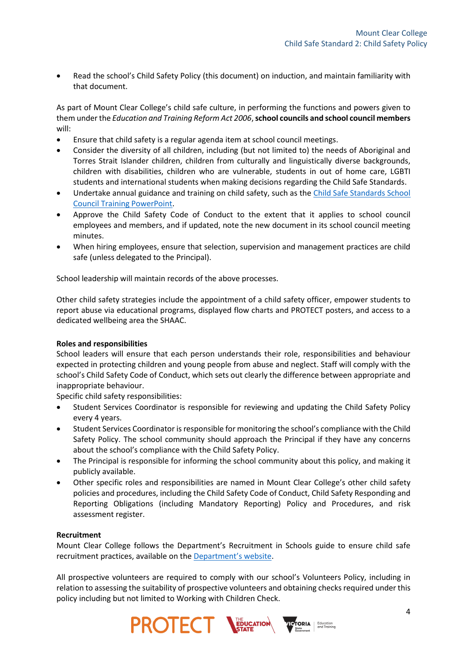Read the school's Child Safety Policy (this document) on induction, and maintain familiarity with that document.

As part of Mount Clear College's child safe culture, in performing the functions and powers given to them under the *Education and Training Reform Act 2006*,**school councils and school council members** will:

- Ensure that child safety is a regular agenda item at school council meetings.
- Consider the diversity of all children, including (but not limited to) the needs of Aboriginal and Torres Strait Islander children, children from culturally and linguistically diverse backgrounds, children with disabilities, children who are vulnerable, students in out of home care, LGBTI students and international students when making decisions regarding the Child Safe Standards.
- Undertake annual guidance and training on child safety, such as the Child Safe Standards School [Council Training](https://www.education.vic.gov.au/Documents/about/programs/health/protect/school-council-training.pptx) PowerPoint.
- Approve the Child Safety Code of Conduct to the extent that it applies to school council employees and members, and if updated, note the new document in its school council meeting minutes.
- When hiring employees, ensure that selection, supervision and management practices are child safe (unless delegated to the Principal).

School leadership will maintain records of the above processes.

Other child safety strategies include the appointment of a child safety officer, empower students to report abuse via educational programs, displayed flow charts and PROTECT posters, and access to a dedicated wellbeing area the SHAAC.

### **Roles and responsibilities**

School leaders will ensure that each person understands their role, responsibilities and behaviour expected in protecting children and young people from abuse and neglect. Staff will comply with the school's Child Safety Code of Conduct, which sets out clearly the difference between appropriate and inappropriate behaviour.

Specific child safety responsibilities:

- Student Services Coordinator is responsible for reviewing and updating the Child Safety Policy every 4 years.
- Student Services Coordinator is responsible for monitoring the school's compliance with the Child Safety Policy. The school community should approach the Principal if they have any concerns about the school's compliance with the Child Safety Policy.
- The Principal is responsible for informing the school community about this policy, and making it publicly available.
- Other specific roles and responsibilities are named in Mount Clear College's other child safety policies and procedures, including the Child Safety Code of Conduct, Child Safety Responding and Reporting Obligations (including Mandatory Reporting) Policy and Procedures, and risk assessment register.

#### **Recruitment**

Mount Clear College follows the Department's Recruitment in Schools guide to ensure child safe recruitment practices, available on the [Department'](https://www.education.vic.gov.au/hrweb/careers/Pages/recruitinsch.aspx)s website.

All prospective volunteers are required to comply with our school's Volunteers Policy, including in relation to assessing the suitability of prospective volunteers and obtaining checks required under this policy including but not limited to Working with Children Check.

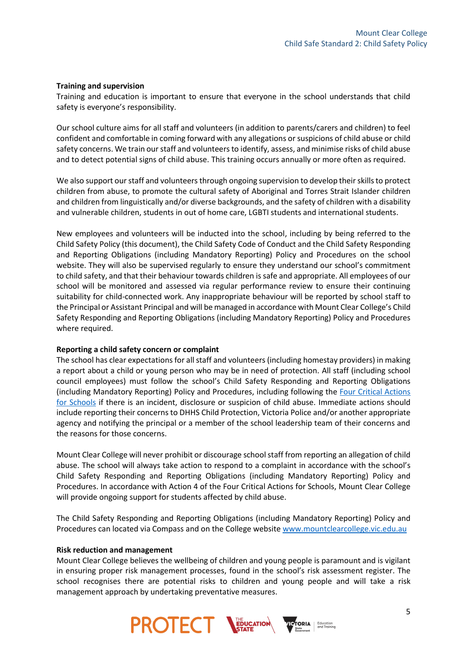#### **Training and supervision**

Training and education is important to ensure that everyone in the school understands that child safety is everyone's responsibility.

Our school culture aims for all staff and volunteers (in addition to parents/carers and children) to feel confident and comfortable in coming forward with any allegations or suspicions of child abuse or child safety concerns. We train our staff and volunteers to identify, assess, and minimise risks of child abuse and to detect potential signs of child abuse. This training occurs annually or more often as required.

We also support our staff and volunteers through ongoing supervision to develop their skills to protect children from abuse, to promote the cultural safety of Aboriginal and Torres Strait Islander children and children from linguistically and/or diverse backgrounds, and the safety of children with a disability and vulnerable children, students in out of home care, LGBTI students and international students.

New employees and volunteers will be inducted into the school, including by being referred to the Child Safety Policy (this document), the Child Safety Code of Conduct and the Child Safety Responding and Reporting Obligations (including Mandatory Reporting) Policy and Procedures on the school website. They will also be supervised regularly to ensure they understand our school's commitment to child safety, and that their behaviour towards children is safe and appropriate. All employees of our school will be monitored and assessed via regular performance review to ensure their continuing suitability for child-connected work. Any inappropriate behaviour will be reported by school staff to the Principal or Assistant Principal and will be managed in accordance with Mount Clear College's Child Safety Responding and Reporting Obligations (including Mandatory Reporting) Policy and Procedures where required.

### **Reporting a child safety concern or complaint**

The school has clear expectations for all staff and volunteers(including homestay providers) in making a report about a child or young person who may be in need of protection. All staff (including school council employees) must follow the school's Child Safety Responding and Reporting Obligations (including Mandatory Reporting) Policy and Procedures, including following the [Four Critical Actions](https://www.education.vic.gov.au/Documents/about/programs/health/protect/FourCriticalActions_ChildAbuse.pdf)  [for Schools](https://www.education.vic.gov.au/Documents/about/programs/health/protect/FourCriticalActions_ChildAbuse.pdf) if there is an incident, disclosure or suspicion of child abuse. Immediate actions should include reporting their concerns to DHHS Child Protection, Victoria Police and/or another appropriate agency and notifying the principal or a member of the school leadership team of their concerns and the reasons for those concerns.

Mount Clear College will never prohibit or discourage school staff from reporting an allegation of child abuse. The school will always take action to respond to a complaint in accordance with the school's Child Safety Responding and Reporting Obligations (including Mandatory Reporting) Policy and Procedures. In accordance with Action 4 of the Four Critical Actions for Schools, Mount Clear College will provide ongoing support for students affected by child abuse.

The Child Safety Responding and Reporting Obligations (including Mandatory Reporting) Policy and Procedures can located via Compass and on the College websit[e www.mountclearcollege.vic.edu.au](http://www.mountclearcollege.vic.edu.au/)

#### **Risk reduction and management**

Mount Clear College believes the wellbeing of children and young people is paramount and is vigilant in ensuring proper risk management processes, found in the school's risk assessment register. The school recognises there are potential risks to children and young people and will take a risk management approach by undertaking preventative measures.

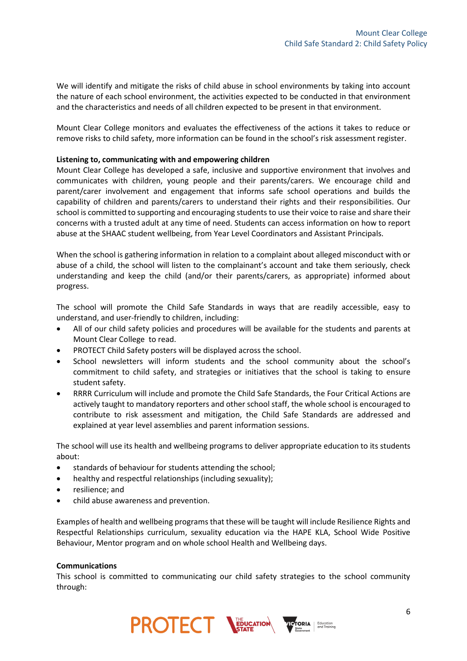We will identify and mitigate the risks of child abuse in school environments by taking into account the nature of each school environment, the activities expected to be conducted in that environment and the characteristics and needs of all children expected to be present in that environment.

Mount Clear College monitors and evaluates the effectiveness of the actions it takes to reduce or remove risks to child safety, more information can be found in the school's risk assessment register.

### **Listening to, communicating with and empowering children**

Mount Clear College has developed a safe, inclusive and supportive environment that involves and communicates with children, young people and their parents/carers. We encourage child and parent/carer involvement and engagement that informs safe school operations and builds the capability of children and parents/carers to understand their rights and their responsibilities. Our school is committed to supporting and encouraging students to use their voice to raise and share their concerns with a trusted adult at any time of need. Students can access information on how to report abuse at the SHAAC student wellbeing, from Year Level Coordinators and Assistant Principals.

When the school is gathering information in relation to a complaint about alleged misconduct with or abuse of a child, the school will listen to the complainant's account and take them seriously, check understanding and keep the child (and/or their parents/carers, as appropriate) informed about progress.

The school will promote the Child Safe Standards in ways that are readily accessible, easy to understand, and user-friendly to children, including:

- All of our child safety policies and procedures will be available for the students and parents at Mount Clear College to read.
- PROTECT Child Safety posters will be displayed across the school.
- School newsletters will inform students and the school community about the school's commitment to child safety, and strategies or initiatives that the school is taking to ensure student safety.
- RRRR Curriculum will include and promote the Child Safe Standards, the Four Critical Actions are actively taught to mandatory reporters and other school staff, the whole school is encouraged to contribute to risk assessment and mitigation, the Child Safe Standards are addressed and explained at year level assemblies and parent information sessions.

The school will use its health and wellbeing programs to deliver appropriate education to its students about:

- standards of behaviour for students attending the school;
- healthy and respectful relationships (including sexuality);
- resilience; and
- child abuse awareness and prevention.

Examples of health and wellbeing programs that these will be taught will include Resilience Rights and Respectful Relationships curriculum, sexuality education via the HAPE KLA, School Wide Positive Behaviour, Mentor program and on whole school Health and Wellbeing days.

#### **Communications**

This school is committed to communicating our child safety strategies to the school community through: